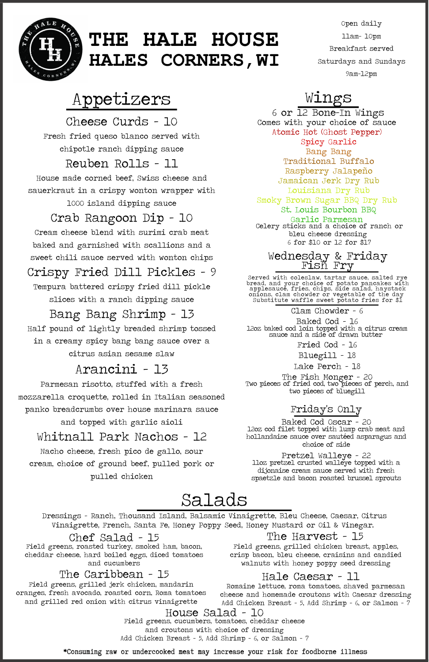Open daily 11am- 10pm Breakfast served Saturdays and Sundays 9am-12pm



# **THE HALE HOUSE HALES CORNERS,WI**

\*Consuming raw or undercooked meat may increase your risk for foodborne illness

# Wings

6 or 12 Bone-In Wings Comes with your choice of sauce Atomic Hot (Ghost Pepper) Spicy Garlic Bang Bang Traditional Buffalo Raspberry Jalapeño Jamaican Jerk Dry Rub Louisiana Dry Rub Smoky Brown Sugar BBQ Dry Rub St. Louis Bourbon BBQ Garlic Parmesan

Celery sticks and a choice of ranch or bleu cheese dressing 6 for \$10 or 12 for \$17

# Salads

### The Caribbean - 15

Field greens, grilled jerk chicken, mandarin oranges, fresh avocado, roasted corn, Roma tomatoes and grilled red onion with citrus vinaigrette

### Chef Salad - 15

Field greens, roasted turkey, smoked ham, bacon, cheddar cheese, hard boiled eggs, diced tomatoes and cucumbers

Dressings - Ranch, Thousand Island, Balsamic Vinaigrette, Bleu Cheese, Caesar, Citrus Vinaigrette, French, Santa Fe, Honey Poppy Seed, Honey Mustard or Oil & Vinegar.

### The Harvest - 15

Field greens, grilled chicken breast, apples, crisp bacon, bleu cheese, craisins and candied walnuts with honey poppy seed dressing

### Hale Caesar - 11

Romaine lettuce, roma tomatoes, shaved parmesan cheese and homemade croutons with Caesar dressing Add Chicken Breast - 5, Add Shrimp - 6, or Salmon - 7

Baked Cod - 16 12oz baked cod loin topped with a citrus cream sauce and a side of drawn butter

House Salad - 10 Field greens, cucumbers, tomatoes, cheddar cheese and croutons with choice of dressing Add Chicken Breast - 5, Add Shrimp - 6, or Salmon - 7

# Appetizers

Bang Bang Shrimp - 13 Half pound of lightly breaded shrimp tossed in a creamy spicy bang bang sauce over a citrus asian sesame slaw

## Arancini - 13

Fresh fried queso blanco served with chipotle ranch dipping sauce Cheese Curds - 10 Reuben Rolls - 11 House made corned beef, Swiss cheese and sauerkraut in a crispy wonton wrapper with 1000 island dipping sauce Crab Rangoon Dip - 10 Cream cheese blend with surimi crab meat baked and garnished with scallions and a sweet chili sauce served with wonton chips

Parmesan risotto, stuffed with a fresh mozzarella croquette, rolled in Italian seasoned panko breadcrumbs over house marinara sauce and topped with garlic aioli

Whitnall Park Nachos - 12

Nacho cheese, fresh pico de gallo, sour cream, choice of ground beef, pulled pork or pulled chicken

Crispy Fried Dill Pickles - 9 Tempura battered crispy fried dill pickle

slices with a ranch dipping sauce

### Wednesday & Friday Fish Fry

Served with coleslaw, tartar sauce, salted rye bread, and your choice of potato pancakes with applesauce, fries, chips, side salad, haystack onions, clam chowder or vegetable of the day Substitute waffle sweet potato fries for \$1

Clam Chowder - 6

Lake Perch - 18

The Fish Monger - 20 Two pieces of fried cod, two pieces of perch, and two pieces of bluegill

Bluegill - 18

### Friday's Only

Baked Cod Oscar - 20 12oz cod filet topped with lump crab meat and hollandaise sauce over sautéed asparagus and choice of side

Pretzel Walleye - 22 11oz pretzel crusted walleye topped with a dijonaise cream sauce served with fresh spaetzle and bacon roasted brussel sprouts

Fried Cod - 16